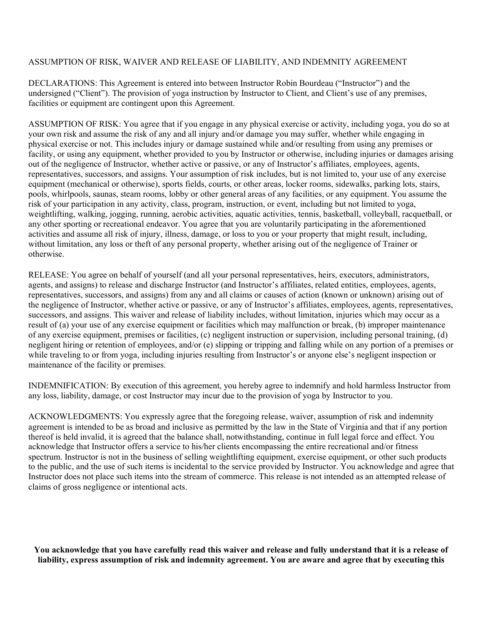## ASSUMPTION OF RISK, WAIVER AND RELEASE OF LIABILITY, AND INDEMNITY AGREEMENT

DECLARATIONS: This Agreement is entered into between Instructor Robin Bourdeau ("Instructor") and the undersigned ("Client"). The provision of yoga instruction by Instructor to Client, and Client's use of any premises, facilities or equipment are contingent upon this Agreement.

ASSUMPTION OF RISK: You agree that if you engage in any physical exercise or activity, including yoga, you do so at your own risk and assume the risk of any and all injury and/or damage you may suffer, whether while engaging in physical exercise or not. This includes injury or damage sustained while and/or resulting from using any premises or facility, or using any equipment, whether provided to you by Instructor or otherwise, including injuries or damages arising out of the negligence of Instructor, whether active or passive, or any of Instructor's affiliates, employees, agents, representatives, successors, and assigns. Your assumption of risk includes, but is not limited to, your use of any exercise equipment (mechanical or otherwise), sports fields, courts, or other areas, locker rooms, sidewalks, parking lots, stairs, pools, whirlpools, saunas, steam rooms, lobby or other general areas of any facilities, or any equipment. You assume the risk of your participation in any activity, class, program, instruction, or event, including but not limited to yoga, weightlifting, walking, jogging, running, aerobic activities, aquatic activities, tennis, basketball, volleyball, racquetball, or any other sporting or recreational endeavor. You agree that you are voluntarily participating in the aforementioned activities and assume all risk of injury, illness, damage, or loss to you or your property that might result, including, without limitation, any loss or theft of any personal property, whether arising out of the negligence of Trainer or otherwise.

RELEASE: You agree on behalf of yourself (and all your personal representatives, heirs, executors, administrators, agents, and assigns) to release and discharge Instructor (and Instructor's affiliates, related entities, employees, agents, representatives, successors, and assigns) from any and all claims or causes of action (known or unknown) arising out of the negligence of Instructor, whether active or passive, or any of Instructor's affiliates, employees, agents, representatives, successors, and assigns. This waiver and release of liability includes, without limitation, injuries which may occur as a result of (a) your use of any exercise equipment or facilities which may malfunction or break, (b) improper maintenance of any exercise equipment, premises or facilities, (c) negligent instruction or supervision, including personal training, (d) negligent hiring or retention of employees, and/or (e) slipping or tripping and falling while on any portion of a premises or while traveling to or from yoga, including injuries resulting from Instructor's or anyone else's negligent inspection or maintenance of the facility or premises.

INDEMNIFICATION: By execution of this agreement, you hereby agree to indemnify and hold harmless Instructor from any loss, liability, damage, or cost Instructor may incur due to the provision of yoga by Instructor to you.

ACKNOWLEDGMENTS: You expressly agree that the foregoing release, waiver, assumption of risk and indemnity agreement is intended to be as broad and inclusive as permitted by the law in the State of Virginia and that if any portion thereof is held invalid, it is agreed that the balance shall, notwithstanding, continue in full legal force and effect. You acknowledge that Instructor offers a service to his/her clients encompassing the entire recreational and/or fitness spectrum. Instructor is not in the business of selling weightlifting equipment, exercise equipment, or other such products to the public, and the use of such items is incidental to the service provided by Instructor. You acknowledge and agree that Instructor does not place such items into the stream of commerce. This release is not intended as an attempted release of claims of gross negligence or intentional acts.

**You acknowledge that you have carefully read this waiver and release and fully understand that it is a release of liability, express assumption of risk and indemnity agreement. You are aware and agree that by executing this**